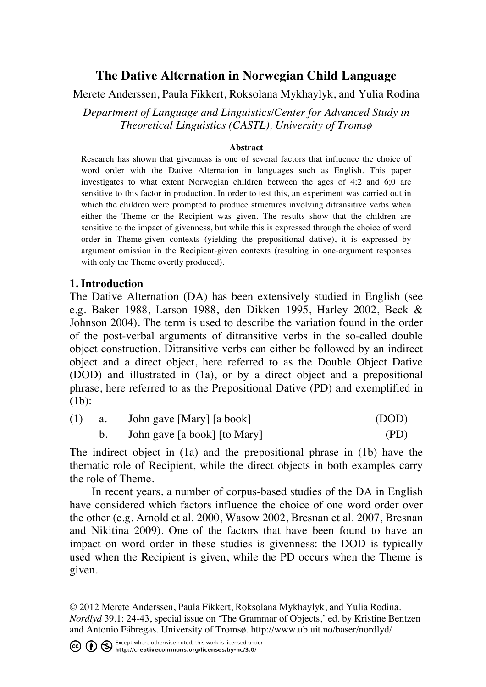# **The Dative Alternation in Norwegian Child Language**

Merete Anderssen, Paula Fikkert, Roksolana Mykhaylyk, and Yulia Rodina

*Department of Language and Linguistics/Center for Advanced Study in Theoretical Linguistics (CASTL), University of Tromsø*

#### **Abstract**

Research has shown that givenness is one of several factors that influence the choice of word order with the Dative Alternation in languages such as English. This paper investigates to what extent Norwegian children between the ages of 4;2 and 6;0 are sensitive to this factor in production. In order to test this, an experiment was carried out in which the children were prompted to produce structures involving ditransitive verbs when either the Theme or the Recipient was given. The results show that the children are sensitive to the impact of givenness, but while this is expressed through the choice of word order in Theme-given contexts (yielding the prepositional dative), it is expressed by argument omission in the Recipient-given contexts (resulting in one-argument responses with only the Theme overtly produced).

#### **1. Introduction**

The Dative Alternation (DA) has been extensively studied in English (see e.g. Baker 1988, Larson 1988, den Dikken 1995, Harley 2002, Beck & Johnson 2004). The term is used to describe the variation found in the order of the post-verbal arguments of ditransitive verbs in the so-called double object construction. Ditransitive verbs can either be followed by an indirect object and a direct object, here referred to as the Double Object Dative (DOD) and illustrated in (1a), or by a direct object and a prepositional phrase, here referred to as the Prepositional Dative (PD) and exemplified in (1b):

| (1) | a. John gave [Mary] [a book] | (DOD) |
|-----|------------------------------|-------|
|     | John gave [a book] [to Mary] | (PD)  |

The indirect object in (1a) and the prepositional phrase in (1b) have the thematic role of Recipient, while the direct objects in both examples carry the role of Theme.

In recent years, a number of corpus-based studies of the DA in English have considered which factors influence the choice of one word order over the other (e.g. Arnold et al. 2000, Wasow 2002, Bresnan et al. 2007, Bresnan and Nikitina 2009). One of the factors that have been found to have an impact on word order in these studies is givenness: the DOD is typically used when the Recipient is given, while the PD occurs when the Theme is given.

© 2012 Merete Anderssen, Paula Fikkert, Roksolana Mykhaylyk, and Yulia Rodina. *Nordlyd* 39.1: 24-43, special issue on 'The Grammar of Objects,' ed. by Kristine Bentzen and Antonio Fábregas. University of Tromsø. http://www.ub.uit.no/baser/nordlyd/

CC (i) S Except where otherwise noted, this work is licensed under<br>http://creativecommons.org/licenses/by-nc/3.0/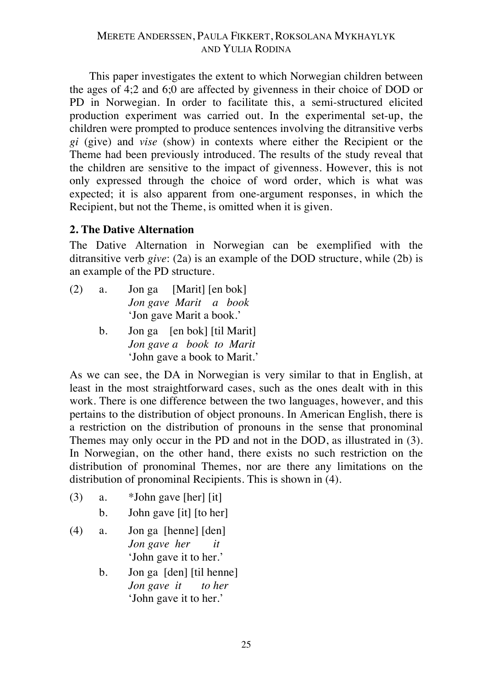This paper investigates the extent to which Norwegian children between the ages of 4;2 and 6;0 are affected by givenness in their choice of DOD or PD in Norwegian. In order to facilitate this, a semi-structured elicited production experiment was carried out. In the experimental set-up, the children were prompted to produce sentences involving the ditransitive verbs *gi* (give) and *vise* (show) in contexts where either the Recipient or the Theme had been previously introduced. The results of the study reveal that the children are sensitive to the impact of givenness. However, this is not only expressed through the choice of word order, which is what was expected; it is also apparent from one-argument responses, in which the Recipient, but not the Theme, is omitted when it is given.

#### **2. The Dative Alternation**

The Dative Alternation in Norwegian can be exemplified with the ditransitive verb *give*: (2a) is an example of the DOD structure, while (2b) is an example of the PD structure.

- (2) a. Jon ga [Marit] [en bok] *Jon gave Marit a book* 'Jon gave Marit a book.'
	- b. Jon ga [en bok] [til Marit] *Jon gave a book to Marit* 'John gave a book to Marit.'

As we can see, the DA in Norwegian is very similar to that in English, at least in the most straightforward cases, such as the ones dealt with in this work. There is one difference between the two languages, however, and this pertains to the distribution of object pronouns. In American English, there is a restriction on the distribution of pronouns in the sense that pronominal Themes may only occur in the PD and not in the DOD, as illustrated in (3). In Norwegian, on the other hand, there exists no such restriction on the distribution of pronominal Themes, nor are there any limitations on the distribution of pronominal Recipients. This is shown in (4).

- (3) a.  $*$  John gave [her] [it]
	- b. John gave [it] [to her]
- (4) a. Jon ga [henne] [den] *Jon gave her it* 'John gave it to her.'
	- b. Jon ga [den] [til henne] *Jon gave it to her* 'John gave it to her.'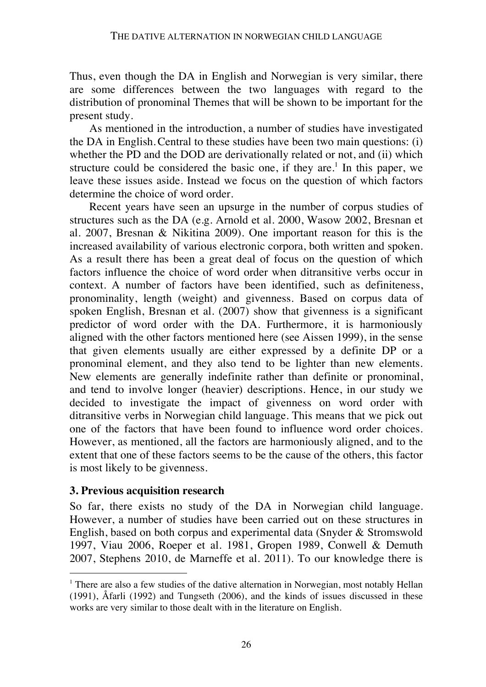Thus, even though the DA in English and Norwegian is very similar, there are some differences between the two languages with regard to the distribution of pronominal Themes that will be shown to be important for the present study.

As mentioned in the introduction, a number of studies have investigated the DA in English.Central to these studies have been two main questions: (i) whether the PD and the DOD are derivationally related or not, and (ii) which structure could be considered the basic one, if they are.<sup>1</sup> In this paper, we leave these issues aside. Instead we focus on the question of which factors determine the choice of word order.

Recent years have seen an upsurge in the number of corpus studies of structures such as the DA (e.g. Arnold et al. 2000, Wasow 2002, Bresnan et al. 2007, Bresnan & Nikitina 2009). One important reason for this is the increased availability of various electronic corpora, both written and spoken. As a result there has been a great deal of focus on the question of which factors influence the choice of word order when ditransitive verbs occur in context. A number of factors have been identified, such as definiteness, pronominality, length (weight) and givenness. Based on corpus data of spoken English, Bresnan et al. (2007) show that givenness is a significant predictor of word order with the DA. Furthermore, it is harmoniously aligned with the other factors mentioned here (see Aissen 1999), in the sense that given elements usually are either expressed by a definite DP or a pronominal element, and they also tend to be lighter than new elements. New elements are generally indefinite rather than definite or pronominal, and tend to involve longer (heavier) descriptions. Hence, in our study we decided to investigate the impact of givenness on word order with ditransitive verbs in Norwegian child language. This means that we pick out one of the factors that have been found to influence word order choices. However, as mentioned, all the factors are harmoniously aligned, and to the extent that one of these factors seems to be the cause of the others, this factor is most likely to be givenness.

### **3. Previous acquisition research**

 $\overline{a}$ 

So far, there exists no study of the DA in Norwegian child language. However, a number of studies have been carried out on these structures in English, based on both corpus and experimental data (Snyder & Stromswold 1997, Viau 2006, Roeper et al. 1981, Gropen 1989, Conwell & Demuth 2007, Stephens 2010, de Marneffe et al. 2011). To our knowledge there is

<sup>&</sup>lt;sup>1</sup> There are also a few studies of the dative alternation in Norwegian, most notably Hellan (1991), Åfarli (1992) and Tungseth (2006), and the kinds of issues discussed in these works are very similar to those dealt with in the literature on English.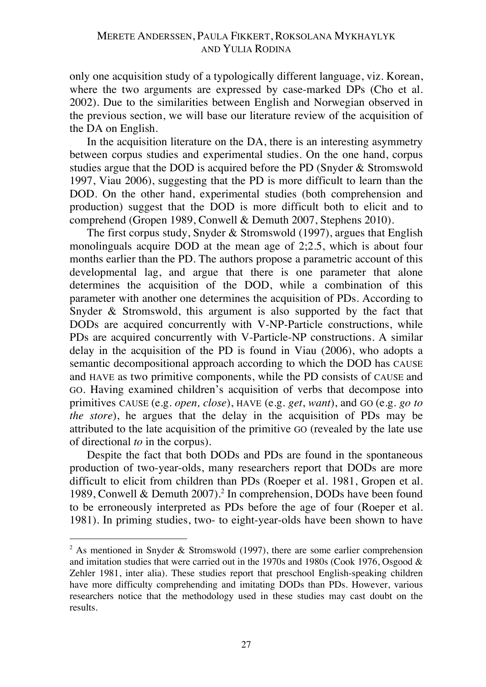only one acquisition study of a typologically different language, viz. Korean, where the two arguments are expressed by case-marked DPs (Cho et al. 2002). Due to the similarities between English and Norwegian observed in the previous section, we will base our literature review of the acquisition of the DA on English.

In the acquisition literature on the DA, there is an interesting asymmetry between corpus studies and experimental studies. On the one hand, corpus studies argue that the DOD is acquired before the PD (Snyder & Stromswold 1997, Viau 2006), suggesting that the PD is more difficult to learn than the DOD. On the other hand, experimental studies (both comprehension and production) suggest that the DOD is more difficult both to elicit and to comprehend (Gropen 1989, Conwell & Demuth 2007, Stephens 2010).

The first corpus study, Snyder & Stromswold (1997), argues that English monolinguals acquire DOD at the mean age of 2;2.5, which is about four months earlier than the PD. The authors propose a parametric account of this developmental lag, and argue that there is one parameter that alone determines the acquisition of the DOD, while a combination of this parameter with another one determines the acquisition of PDs. According to Snyder & Stromswold, this argument is also supported by the fact that DODs are acquired concurrently with V-NP-Particle constructions, while PDs are acquired concurrently with V-Particle-NP constructions. A similar delay in the acquisition of the PD is found in Viau (2006), who adopts a semantic decompositional approach according to which the DOD has CAUSE and HAVE as two primitive components, while the PD consists of CAUSE and GO. Having examined children's acquisition of verbs that decompose into primitives CAUSE (e.g. *open, close*), HAVE (e.g. *get*, *want*), and GO (e.g. *go to the store*), he argues that the delay in the acquisition of PDs may be attributed to the late acquisition of the primitive GO (revealed by the late use of directional *to* in the corpus).

Despite the fact that both DODs and PDs are found in the spontaneous production of two-year-olds, many researchers report that DODs are more difficult to elicit from children than PDs (Roeper et al. 1981, Gropen et al. 1989, Conwell & Demuth 2007).<sup>2</sup> In comprehension, DODs have been found to be erroneously interpreted as PDs before the age of four (Roeper et al. 1981). In priming studies, two- to eight-year-olds have been shown to have

 $\overline{a}$ 

<sup>&</sup>lt;sup>2</sup> As mentioned in Snyder & Stromswold (1997), there are some earlier comprehension and imitation studies that were carried out in the 1970s and 1980s (Cook 1976, Osgood & Zehler 1981, inter alia). These studies report that preschool English-speaking children have more difficulty comprehending and imitating DODs than PDs. However, various researchers notice that the methodology used in these studies may cast doubt on the results.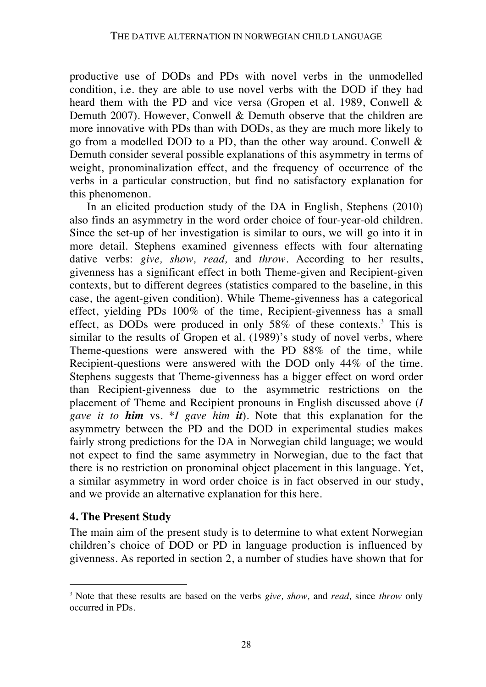productive use of DODs and PDs with novel verbs in the unmodelled condition, i.e. they are able to use novel verbs with the DOD if they had heard them with the PD and vice versa (Gropen et al. 1989, Conwell & Demuth 2007). However, Conwell & Demuth observe that the children are more innovative with PDs than with DODs, as they are much more likely to go from a modelled DOD to a PD, than the other way around. Conwell & Demuth consider several possible explanations of this asymmetry in terms of weight, pronominalization effect, and the frequency of occurrence of the verbs in a particular construction, but find no satisfactory explanation for this phenomenon.

In an elicited production study of the DA in English, Stephens (2010) also finds an asymmetry in the word order choice of four-year-old children. Since the set-up of her investigation is similar to ours, we will go into it in more detail. Stephens examined givenness effects with four alternating dative verbs: *give, show, read,* and *throw.* According to her results, givenness has a significant effect in both Theme-given and Recipient-given contexts, but to different degrees (statistics compared to the baseline, in this case, the agent-given condition). While Theme-givenness has a categorical effect, yielding PDs 100% of the time, Recipient-givenness has a small effect, as DODs were produced in only 58% of these contexts. <sup>3</sup> This is similar to the results of Gropen et al. (1989)'s study of novel verbs, where Theme-questions were answered with the PD 88% of the time, while Recipient-questions were answered with the DOD only 44% of the time. Stephens suggests that Theme-givenness has a bigger effect on word order than Recipient-givenness due to the asymmetric restrictions on the placement of Theme and Recipient pronouns in English discussed above (*I gave it to him* vs. \**I gave him it*). Note that this explanation for the asymmetry between the PD and the DOD in experimental studies makes fairly strong predictions for the DA in Norwegian child language; we would not expect to find the same asymmetry in Norwegian, due to the fact that there is no restriction on pronominal object placement in this language. Yet, a similar asymmetry in word order choice is in fact observed in our study, and we provide an alternative explanation for this here.

### **4. The Present Study**

 $\overline{a}$ 

The main aim of the present study is to determine to what extent Norwegian children's choice of DOD or PD in language production is influenced by givenness. As reported in section 2, a number of studies have shown that for

<sup>3</sup> Note that these results are based on the verbs *give, show,* and *read,* since *throw* only occurred in PDs*.*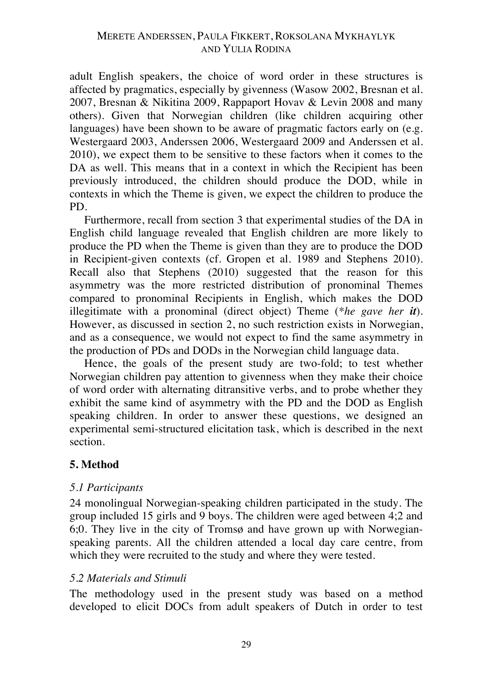adult English speakers, the choice of word order in these structures is affected by pragmatics, especially by givenness (Wasow 2002, Bresnan et al. 2007, Bresnan & Nikitina 2009, Rappaport Hovav & Levin 2008 and many others). Given that Norwegian children (like children acquiring other languages) have been shown to be aware of pragmatic factors early on (e.g. Westergaard 2003, Anderssen 2006, Westergaard 2009 and Anderssen et al. 2010), we expect them to be sensitive to these factors when it comes to the DA as well. This means that in a context in which the Recipient has been previously introduced, the children should produce the DOD, while in contexts in which the Theme is given, we expect the children to produce the PD.

Furthermore, recall from section 3 that experimental studies of the DA in English child language revealed that English children are more likely to produce the PD when the Theme is given than they are to produce the DOD in Recipient-given contexts (cf. Gropen et al. 1989 and Stephens 2010). Recall also that Stephens (2010) suggested that the reason for this asymmetry was the more restricted distribution of pronominal Themes compared to pronominal Recipients in English, which makes the DOD illegitimate with a pronominal (direct object) Theme (*\*he gave her it*). However, as discussed in section 2, no such restriction exists in Norwegian, and as a consequence, we would not expect to find the same asymmetry in the production of PDs and DODs in the Norwegian child language data.

Hence, the goals of the present study are two-fold; to test whether Norwegian children pay attention to givenness when they make their choice of word order with alternating ditransitive verbs, and to probe whether they exhibit the same kind of asymmetry with the PD and the DOD as English speaking children. In order to answer these questions, we designed an experimental semi-structured elicitation task, which is described in the next section.

### **5. Method**

#### *5.1 Participants*

24 monolingual Norwegian-speaking children participated in the study. The group included 15 girls and 9 boys. The children were aged between 4;2 and 6;0. They live in the city of Tromsø and have grown up with Norwegianspeaking parents. All the children attended a local day care centre, from which they were recruited to the study and where they were tested.

#### *5.2 Materials and Stimuli*

The methodology used in the present study was based on a method developed to elicit DOCs from adult speakers of Dutch in order to test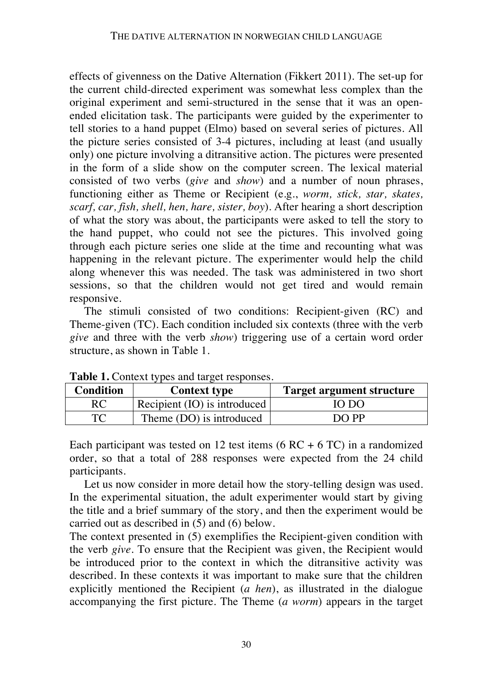effects of givenness on the Dative Alternation (Fikkert 2011). The set-up for the current child-directed experiment was somewhat less complex than the original experiment and semi-structured in the sense that it was an openended elicitation task. The participants were guided by the experimenter to tell stories to a hand puppet (Elmo) based on several series of pictures. All the picture series consisted of 3-4 pictures, including at least (and usually only) one picture involving a ditransitive action. The pictures were presented in the form of a slide show on the computer screen. The lexical material consisted of two verbs (*give* and *show*) and a number of noun phrases, functioning either as Theme or Recipient (e.g., *worm, stick, star, skates, scarf, car, fish, shell, hen, hare, sister, boy*). After hearing a short description of what the story was about, the participants were asked to tell the story to the hand puppet, who could not see the pictures. This involved going through each picture series one slide at the time and recounting what was happening in the relevant picture. The experimenter would help the child along whenever this was needed. The task was administered in two short sessions, so that the children would not get tired and would remain responsive.

The stimuli consisted of two conditions: Recipient-given (RC) and Theme-given (TC). Each condition included six contexts (three with the verb *give* and three with the verb *show*) triggering use of a certain word order structure, as shown in Table 1.

| Twore It Content types and target responses.<br><b>Condition</b> | <b>Context type</b>          | <b>Target argument structure</b> |
|------------------------------------------------------------------|------------------------------|----------------------------------|
| RC                                                               | Recipient (IO) is introduced | IO DO                            |
| TC                                                               | Theme (DO) is introduced     | DO PP                            |

**Table 1.** Context types and target responses.

Each participant was tested on 12 test items  $(6 RC + 6 TC)$  in a randomized order, so that a total of 288 responses were expected from the 24 child participants.

Let us now consider in more detail how the story-telling design was used. In the experimental situation, the adult experimenter would start by giving the title and a brief summary of the story, and then the experiment would be carried out as described in (5) and (6) below.

The context presented in (5) exemplifies the Recipient-given condition with the verb *give*. To ensure that the Recipient was given, the Recipient would be introduced prior to the context in which the ditransitive activity was described. In these contexts it was important to make sure that the children explicitly mentioned the Recipient (*a hen*), as illustrated in the dialogue accompanying the first picture. The Theme (*a worm*) appears in the target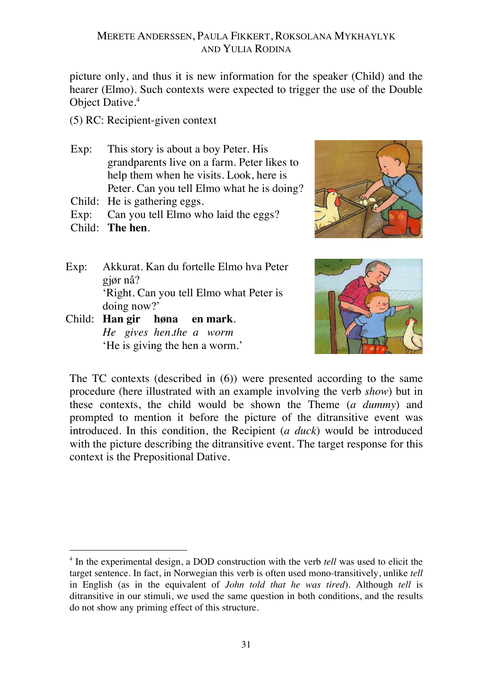picture only, and thus it is new information for the speaker (Child) and the hearer (Elmo). Such contexts were expected to trigger the use of the Double Object Dative.<sup>4</sup>

- (5) RC: Recipient-given context
- Exp: This story is about a boy Peter. His grandparents live on a farm. Peter likes to help them when he visits. Look, here is Peter. Can you tell Elmo what he is doing?
- Child: He is gathering eggs.
- Exp: Can you tell Elmo who laid the eggs?
- Child: **The hen**.

 $\overline{a}$ 

- Exp: Akkurat. Kan du fortelle Elmo hva Peter gjør nå? 'Right. Can you tell Elmo what Peter is doing now?'
- Child: **Han gir høna en mark**. *He gives hen.the a worm* 'He is giving the hen a worm.'





The TC contexts (described in (6)) were presented according to the same procedure (here illustrated with an example involving the verb *show*) but in these contexts, the child would be shown the Theme (*a dummy*) and prompted to mention it before the picture of the ditransitive event was introduced. In this condition, the Recipient (*a duck*) would be introduced with the picture describing the ditransitive event. The target response for this context is the Prepositional Dative.

<sup>4</sup> In the experimental design, a DOD construction with the verb *tell* was used to elicit the target sentence. In fact, in Norwegian this verb is often used mono-transitively, unlike *tell*  in English (as in the equivalent of *John told that he was tired*)*.* Although *tell* is ditransitive in our stimuli, we used the same question in both conditions, and the results do not show any priming effect of this structure.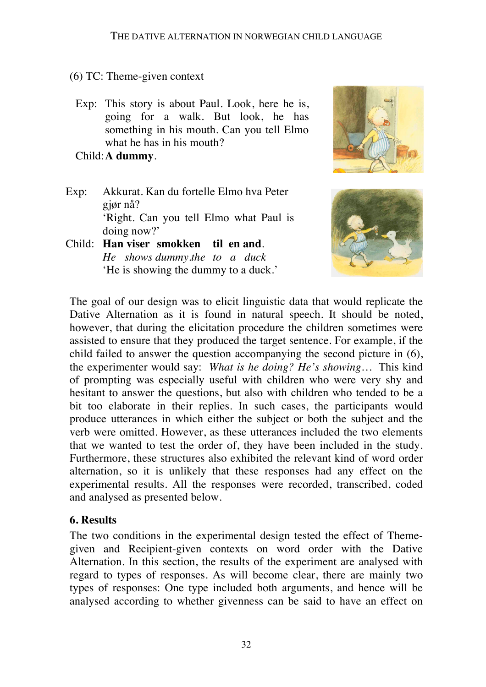- (6) TC: Theme-given context
- Exp: This story is about Paul. Look, here he is, going for a walk. But look, he has something in his mouth. Can you tell Elmo what he has in his mouth?

Child:**A dummy**.

- Exp: Akkurat. Kan du fortelle Elmo hva Peter gjør nå? 'Right. Can you tell Elmo what Paul is doing now?'
- Child: **Han viser smokken til en and**. *He shows dummy.the to a duck* 'He is showing the dummy to a duck.'





The goal of our design was to elicit linguistic data that would replicate the Dative Alternation as it is found in natural speech. It should be noted, however, that during the elicitation procedure the children sometimes were assisted to ensure that they produced the target sentence. For example, if the child failed to answer the question accompanying the second picture in (6), the experimenter would say: *What is he doing? He's showing…* This kind of prompting was especially useful with children who were very shy and hesitant to answer the questions, but also with children who tended to be a bit too elaborate in their replies. In such cases, the participants would produce utterances in which either the subject or both the subject and the verb were omitted. However, as these utterances included the two elements that we wanted to test the order of, they have been included in the study. Furthermore, these structures also exhibited the relevant kind of word order alternation, so it is unlikely that these responses had any effect on the experimental results. All the responses were recorded, transcribed, coded and analysed as presented below.

#### **6. Results**

The two conditions in the experimental design tested the effect of Themegiven and Recipient-given contexts on word order with the Dative Alternation. In this section, the results of the experiment are analysed with regard to types of responses. As will become clear, there are mainly two types of responses: One type included both arguments, and hence will be analysed according to whether givenness can be said to have an effect on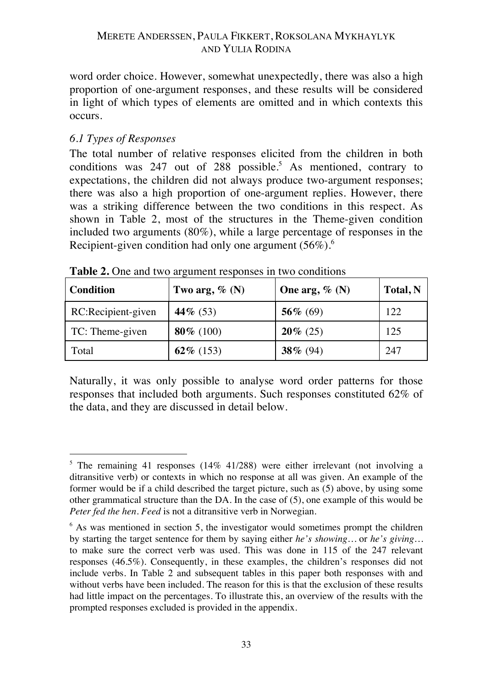word order choice. However, somewhat unexpectedly, there was also a high proportion of one-argument responses, and these results will be considered in light of which types of elements are omitted and in which contexts this occurs.

## *6.1 Types of Responses*

The total number of relative responses elicited from the children in both conditions was 247 out of 288 possible. <sup>5</sup> As mentioned, contrary to expectations, the children did not always produce two-argument responses; there was also a high proportion of one-argument replies. However, there was a striking difference between the two conditions in this respect. As shown in Table 2, most of the structures in the Theme-given condition included two arguments (80%), while a large percentage of responses in the Recipient-given condition had only one argument (56%).<sup>6</sup>

| <b>Condition</b>   | Two arg, $\%$ (N) | One arg, $\%$ (N) | Total, N |
|--------------------|-------------------|-------------------|----------|
| RC:Recipient-given | 44\% $(53)$       | 56\% (69)         | 122      |
| TC: Theme-given    | 80\% (100)        | $20\%$ (25)       | 125      |
| Total              | 62\% (153)        | 38 $% (94)$       | 247      |

**Table 2.** One and two argument responses in two conditions

Naturally, it was only possible to analyse word order patterns for those responses that included both arguments. Such responses constituted 62% of the data, and they are discussed in detail below.

 $\overline{a}$ <sup>5</sup> The remaining 41 responses (14% 41/288) were either irrelevant (not involving a ditransitive verb) or contexts in which no response at all was given. An example of the former would be if a child described the target picture, such as (5) above, by using some other grammatical structure than the DA. In the case of (5), one example of this would be *Peter fed the hen. Feed* is not a ditransitive verb in Norwegian.

 $6$  As was mentioned in section 5, the investigator would sometimes prompt the children by starting the target sentence for them by saying either *he's showing…* or *he's giving…* to make sure the correct verb was used. This was done in 115 of the 247 relevant responses (46.5%). Consequently, in these examples, the children's responses did not include verbs. In Table 2 and subsequent tables in this paper both responses with and without verbs have been included. The reason for this is that the exclusion of these results had little impact on the percentages. To illustrate this, an overview of the results with the prompted responses excluded is provided in the appendix.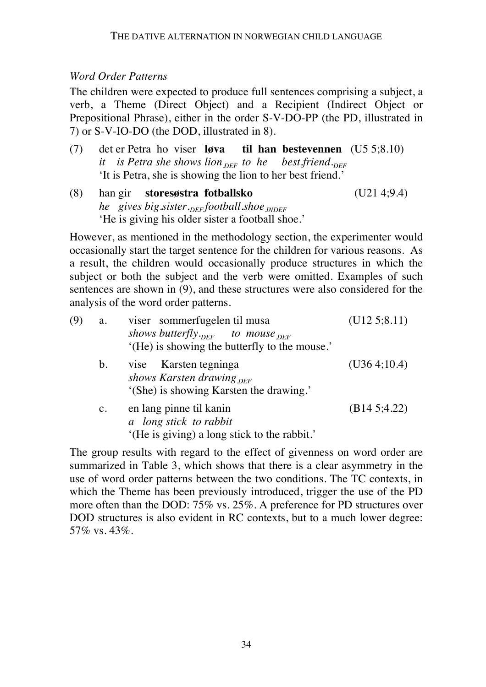## *Word Order Patterns*

The children were expected to produce full sentences comprising a subject, a verb, a Theme (Direct Object) and a Recipient (Indirect Object or Prepositional Phrase), either in the order S-V-DO-PP (the PD, illustrated in 7) or S-V-IO-DO (the DOD, illustrated in 8).

- (7) det er Petra ho viser **løva til han bestevennen** (U5 5;8.10) *it is Petra she shows lion*  $_{DEF}$  to he best.friend. 'It is Petra, she is showing the lion to her best friend.'
- (8) han gir **storesøstra fotballsko** (U21 4;9.4) *he* gives big.sister.<sub>DEF</sub> football.shoe<sub>INDEF</sub> 'He is giving his older sister a football shoe.'

However, as mentioned in the methodology section, the experimenter would occasionally start the target sentence for the children for various reasons. As a result, the children would occasionally produce structures in which the subject or both the subject and the verb were omitted. Examples of such sentences are shown in (9), and these structures were also considered for the analysis of the word order patterns.

| (9) | a.             | viser sommerfugelen til musa                  | (U125; 8.11)  |
|-----|----------------|-----------------------------------------------|---------------|
|     |                | shows butterfly. $_{DEF}$ to mouse $_{DEF}$   |               |
|     |                | '(He) is showing the butterfly to the mouse.' |               |
|     | b.             | vise Karsten tegninga                         | (U36 4; 10.4) |
|     |                | shows Karsten drawing $_{DEF}$                |               |
|     |                | '(She) is showing Karsten the drawing.'       |               |
|     | $\mathbf{c}$ . | en lang pinne til kanin                       | (B14.5;4.22)  |
|     |                | a long stick to rabbit                        |               |
|     |                | '(He is giving) a long stick to the rabbit.'  |               |

The group results with regard to the effect of givenness on word order are summarized in Table 3, which shows that there is a clear asymmetry in the use of word order patterns between the two conditions. The TC contexts, in which the Theme has been previously introduced, trigger the use of the PD more often than the DOD: 75% vs. 25%. A preference for PD structures over DOD structures is also evident in RC contexts, but to a much lower degree: 57% vs. 43%.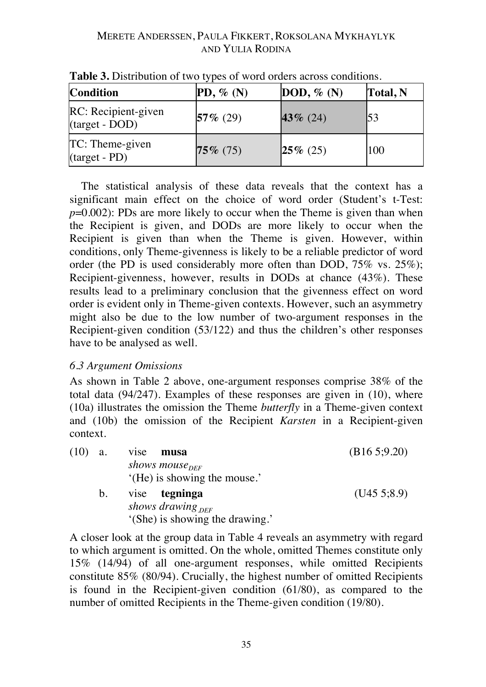| <b>Condition</b>                      | $PD, \%$ (N) | DOD, $\%$ (N) | Total, N |
|---------------------------------------|--------------|---------------|----------|
| RC: Recipient-given<br>(target - DOD) | $57\%$ (29)  | 43 $\%$ (24)  | 53       |
| TC: Theme-given<br>(target - PD)      | $75\%$ (75)  | $25\%$ (25)   | 100      |

**Table 3.** Distribution of two types of word orders across conditions.

The statistical analysis of these data reveals that the context has a significant main effect on the choice of word order (Student's t-Test: *p*=0.002): PDs are more likely to occur when the Theme is given than when the Recipient is given, and DODs are more likely to occur when the Recipient is given than when the Theme is given. However, within conditions, only Theme-givenness is likely to be a reliable predictor of word order (the PD is used considerably more often than DOD, 75% vs. 25%); Recipient-givenness, however, results in DODs at chance (43%). These results lead to a preliminary conclusion that the givenness effect on word order is evident only in Theme-given contexts. However, such an asymmetry might also be due to the low number of two-argument responses in the Recipient-given condition (53/122) and thus the children's other responses have to be analysed as well.

### *6.3 Argument Omissions*

As shown in Table 2 above, one-argument responses comprise 38% of the total data (94/247). Examples of these responses are given in (10), where (10a) illustrates the omission the Theme *butterfly* in a Theme-given context and (10b) the omission of the Recipient *Karsten* in a Recipient-given context.

| $(10)$ a. |             | vise musa                       | (B165; 9.20) |
|-----------|-------------|---------------------------------|--------------|
|           |             | shows mouse <sub>DFF</sub>      |              |
|           |             | '(He) is showing the mouse.'    |              |
|           | $b_{\cdot}$ | vise tegninga                   | (U455;8.9)   |
|           |             | shows drawing $_{DEF}$          |              |
|           |             | '(She) is showing the drawing.' |              |

A closer look at the group data in Table 4 reveals an asymmetry with regard to which argument is omitted. On the whole, omitted Themes constitute only 15% (14/94) of all one-argument responses, while omitted Recipients constitute 85% (80/94). Crucially, the highest number of omitted Recipients is found in the Recipient-given condition (61/80), as compared to the number of omitted Recipients in the Theme-given condition (19/80).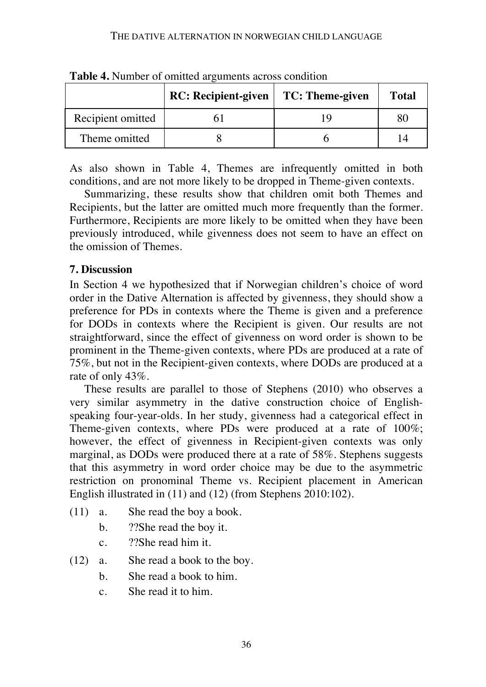|                   | <b>RC:</b> Recipient-given | TC: Theme-given | <b>Total</b> |
|-------------------|----------------------------|-----------------|--------------|
| Recipient omitted |                            |                 |              |
| Theme omitted     |                            |                 |              |

**Table 4.** Number of omitted arguments across condition

As also shown in Table 4, Themes are infrequently omitted in both conditions, and are not more likely to be dropped in Theme-given contexts.

Summarizing, these results show that children omit both Themes and Recipients, but the latter are omitted much more frequently than the former. Furthermore, Recipients are more likely to be omitted when they have been previously introduced, while givenness does not seem to have an effect on the omission of Themes.

## **7. Discussion**

In Section 4 we hypothesized that if Norwegian children's choice of word order in the Dative Alternation is affected by givenness, they should show a preference for PDs in contexts where the Theme is given and a preference for DODs in contexts where the Recipient is given. Our results are not straightforward, since the effect of givenness on word order is shown to be prominent in the Theme-given contexts, where PDs are produced at a rate of 75%, but not in the Recipient-given contexts, where DODs are produced at a rate of only 43%.

These results are parallel to those of Stephens (2010) who observes a very similar asymmetry in the dative construction choice of Englishspeaking four-year-olds. In her study, givenness had a categorical effect in Theme-given contexts, where PDs were produced at a rate of 100%; however, the effect of givenness in Recipient-given contexts was only marginal, as DODs were produced there at a rate of 58%. Stephens suggests that this asymmetry in word order choice may be due to the asymmetric restriction on pronominal Theme vs. Recipient placement in American English illustrated in (11) and (12) (from Stephens 2010:102).

- (11) a. She read the boy a book.
	- b. ??She read the boy it.
	- c. ??She read him it.
- (12) a. She read a book to the boy.
	- b. She read a book to him.
	- c. She read it to him.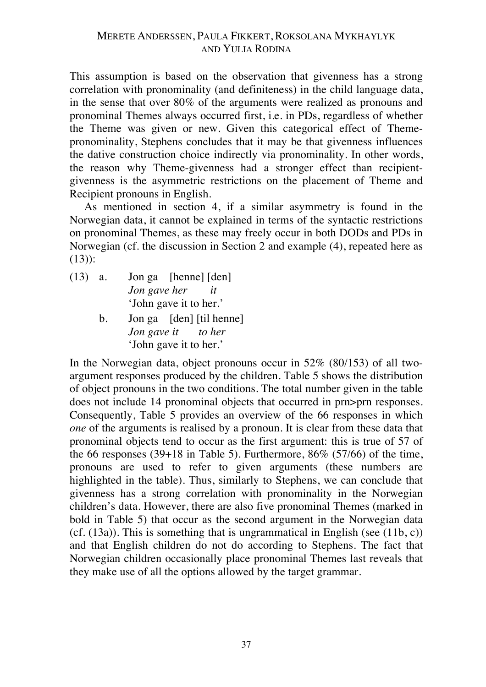This assumption is based on the observation that givenness has a strong correlation with pronominality (and definiteness) in the child language data, in the sense that over 80% of the arguments were realized as pronouns and pronominal Themes always occurred first, i.e. in PDs, regardless of whether the Theme was given or new. Given this categorical effect of Themepronominality, Stephens concludes that it may be that givenness influences the dative construction choice indirectly via pronominality. In other words, the reason why Theme-givenness had a stronger effect than recipientgivenness is the asymmetric restrictions on the placement of Theme and Recipient pronouns in English.

As mentioned in section 4, if a similar asymmetry is found in the Norwegian data, it cannot be explained in terms of the syntactic restrictions on pronominal Themes, as these may freely occur in both DODs and PDs in Norwegian (cf. the discussion in Section 2 and example (4), repeated here as (13)):

- (13) a. Jon ga [henne] [den] *Jon gave her it* 'John gave it to her.'
	- b. Jon ga [den] [til henne] *Jon gave it to her* 'John gave it to her.'

In the Norwegian data, object pronouns occur in 52% (80/153) of all twoargument responses produced by the children. Table 5 shows the distribution of object pronouns in the two conditions. The total number given in the table does not include 14 pronominal objects that occurred in prn>prn responses. Consequently, Table 5 provides an overview of the 66 responses in which *one* of the arguments is realised by a pronoun. It is clear from these data that pronominal objects tend to occur as the first argument: this is true of 57 of the 66 responses  $(39+18$  in Table 5). Furthermore,  $86\%$   $(57/66)$  of the time, pronouns are used to refer to given arguments (these numbers are highlighted in the table). Thus, similarly to Stephens, we can conclude that givenness has a strong correlation with pronominality in the Norwegian children's data. However, there are also five pronominal Themes (marked in bold in Table 5) that occur as the second argument in the Norwegian data (cf.  $(13a)$ ). This is something that is ungrammatical in English (see  $(11b, c)$ ) and that English children do not do according to Stephens. The fact that Norwegian children occasionally place pronominal Themes last reveals that they make use of all the options allowed by the target grammar.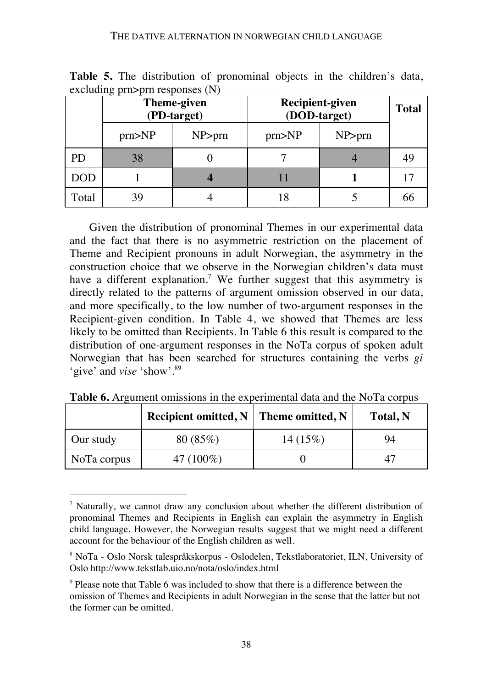#### THE DATIVE ALTERNATION IN NORWEGIAN CHILD LANGUAGE

| $\frac{1}{2}$ | <b>Theme-given</b><br>(PD-target) |        | <b>Recipient-given</b><br>(DOD-target) |        | <b>Total</b> |
|---------------|-----------------------------------|--------|----------------------------------------|--------|--------------|
|               | prn > NP                          | NP>prn | prn > NP                               | NP>prn |              |
| <b>PD</b>     | 38                                |        |                                        |        | 49           |
| <b>DOD</b>    |                                   |        |                                        |        |              |
| Total         | 39                                |        |                                        |        | 66           |

**Table 5.** The distribution of pronominal objects in the children's data,  $excluding$  prn $\geq$ prn responses  $(N)$ 

Given the distribution of pronominal Themes in our experimental data and the fact that there is no asymmetric restriction on the placement of Theme and Recipient pronouns in adult Norwegian, the asymmetry in the construction choice that we observe in the Norwegian children's data must have a different explanation.<sup>7</sup> We further suggest that this asymmetry is directly related to the patterns of argument omission observed in our data, and more specifically, to the low number of two-argument responses in the Recipient-given condition. In Table 4, we showed that Themes are less likely to be omitted than Recipients. In Table 6 this result is compared to the distribution of one-argument responses in the NoTa corpus of spoken adult Norwegian that has been searched for structures containing the verbs *gi* 'give' and *vise* 'show'.89

|             | Recipient omitted, $N \mid$ Theme omitted, N |            | Total, N |
|-------------|----------------------------------------------|------------|----------|
| Our study   | 80(85%)                                      | $14(15\%)$ | 94       |
| NoTa corpus | 47 (100%)                                    |            |          |

**Table 6.** Argument omissions in the experimental data and the NoTa corpus

 $\overline{a}$ 

 $<sup>7</sup>$  Naturally, we cannot draw any conclusion about whether the different distribution of</sup> pronominal Themes and Recipients in English can explain the asymmetry in English child language. However, the Norwegian results suggest that we might need a different account for the behaviour of the English children as well.

<sup>8</sup> NoTa - Oslo Norsk talespråkskorpus - Oslodelen, Tekstlaboratoriet, ILN, University of Oslo http://www.tekstlab.uio.no/nota/oslo/index.html

<sup>&</sup>lt;sup>9</sup> Please note that Table 6 was included to show that there is a difference between the omission of Themes and Recipients in adult Norwegian in the sense that the latter but not the former can be omitted.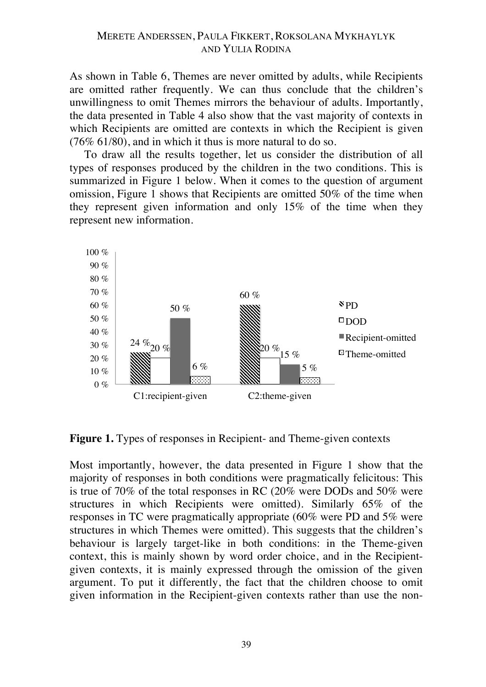As shown in Table 6, Themes are never omitted by adults, while Recipients are omitted rather frequently. We can thus conclude that the children's unwillingness to omit Themes mirrors the behaviour of adults. Importantly, the data presented in Table 4 also show that the vast majority of contexts in which Recipients are omitted are contexts in which the Recipient is given (76% 61/80), and in which it thus is more natural to do so.

To draw all the results together, let us consider the distribution of all types of responses produced by the children in the two conditions. This is summarized in Figure 1 below. When it comes to the question of argument omission, Figure 1 shows that Recipients are omitted 50% of the time when they represent given information and only 15% of the time when they represent new information.



**Figure 1.** Types of responses in Recipient- and Theme-given contexts

Most importantly, however, the data presented in Figure 1 show that the majority of responses in both conditions were pragmatically felicitous: This is true of 70% of the total responses in RC (20% were DODs and 50% were structures in which Recipients were omitted). Similarly 65% of the responses in TC were pragmatically appropriate (60% were PD and 5% were structures in which Themes were omitted). This suggests that the children's behaviour is largely target-like in both conditions: in the Theme-given context, this is mainly shown by word order choice, and in the Recipientgiven contexts, it is mainly expressed through the omission of the given argument. To put it differently, the fact that the children choose to omit given information in the Recipient-given contexts rather than use the non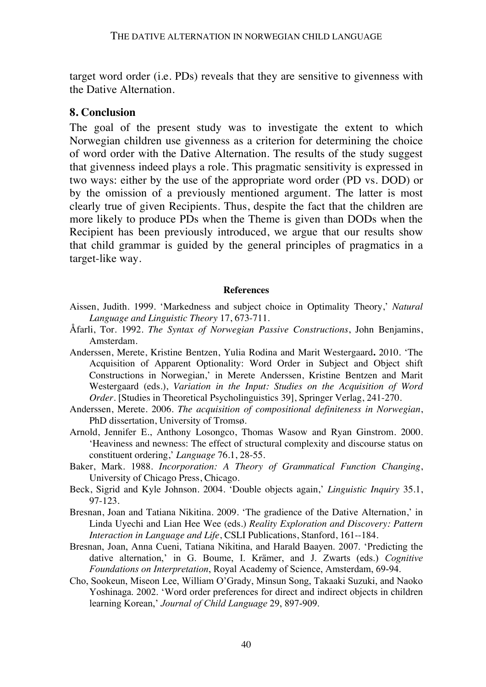target word order (i.e. PDs) reveals that they are sensitive to givenness with the Dative Alternation.

## **8. Conclusion**

The goal of the present study was to investigate the extent to which Norwegian children use givenness as a criterion for determining the choice of word order with the Dative Alternation. The results of the study suggest that givenness indeed plays a role. This pragmatic sensitivity is expressed in two ways: either by the use of the appropriate word order (PD vs. DOD) or by the omission of a previously mentioned argument. The latter is most clearly true of given Recipients. Thus, despite the fact that the children are more likely to produce PDs when the Theme is given than DODs when the Recipient has been previously introduced, we argue that our results show that child grammar is guided by the general principles of pragmatics in a target-like way.

#### **References**

- Aissen, Judith. 1999. 'Markedness and subject choice in Optimality Theory,' *Natural Language and Linguistic Theory* 17, 673-711.
- Åfarli, Tor. 1992. *The Syntax of Norwegian Passive Constructions*, John Benjamins, Amsterdam.
- Anderssen, Merete, Kristine Bentzen, Yulia Rodina and Marit Westergaard**.** 2010. 'The Acquisition of Apparent Optionality: Word Order in Subject and Object shift Constructions in Norwegian,' in Merete Anderssen, Kristine Bentzen and Marit Westergaard (eds.), *Variation in the Input: Studies on the Acquisition of Word Order.* [Studies in Theoretical Psycholinguistics 39], Springer Verlag, 241-270.
- Anderssen, Merete. 2006. *The acquisition of compositional definiteness in Norwegian*, PhD dissertation, University of Tromsø.
- Arnold, Jennifer E., Anthony Losongco, Thomas Wasow and Ryan Ginstrom. 2000. 'Heaviness and newness: The effect of structural complexity and discourse status on constituent ordering,' *Language* 76.1, 28-55.
- Baker, Mark. 1988. *Incorporation: A Theory of Grammatical Function Changing*, University of Chicago Press, Chicago.
- Beck, Sigrid and Kyle Johnson. 2004. 'Double objects again,' *Linguistic Inquiry* 35.1, 97-123.
- Bresnan, Joan and Tatiana Nikitina. 2009. 'The gradience of the Dative Alternation,' in Linda Uyechi and Lian Hee Wee (eds.) *Reality Exploration and Discovery: Pattern Interaction in Language and Life*, CSLI Publications, Stanford, 161--184.
- Bresnan, Joan, Anna Cueni, Tatiana Nikitina, and Harald Baayen. 2007. 'Predicting the dative alternation,' in G. Boume, I. Krämer, and J. Zwarts (eds.) *Cognitive Foundations on Interpretation*, Royal Academy of Science, Amsterdam, 69-94.
- Cho, Sookeun, Miseon Lee, William O'Grady, Minsun Song, Takaaki Suzuki, and Naoko Yoshinaga. 2002. 'Word order preferences for direct and indirect objects in children learning Korean,' *Journal of Child Language* 29, 897-909.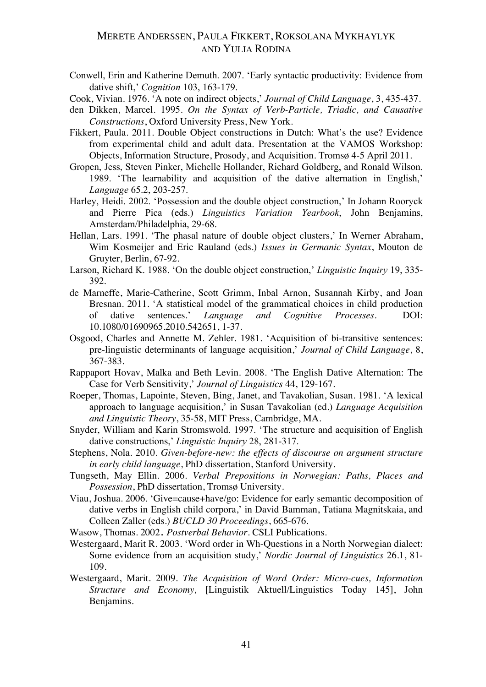Conwell, Erin and Katherine Demuth. 2007. 'Early syntactic productivity: Evidence from dative shift,' *Cognition* 103, 163-179.

Cook, Vivian. 1976. 'A note on indirect objects,' *Journal of Child Language*, 3, 435-437.

- den Dikken, Marcel. 1995. *On the Syntax of Verb-Particle, Triadic, and Causative Constructions*, Oxford University Press, New York.
- Fikkert, Paula. 2011. Double Object constructions in Dutch: What's the use? Evidence from experimental child and adult data. Presentation at the VAMOS Workshop: Objects, Information Structure, Prosody, and Acquisition. Tromsø 4-5 April 2011.
- Gropen, Jess, Steven Pinker, Michelle Hollander, Richard Goldberg, and Ronald Wilson. 1989. 'The learnability and acquisition of the dative alternation in English,' *Language* 65.2, 203-257.
- Harley, Heidi. 2002. 'Possession and the double object construction,' In Johann Rooryck and Pierre Pica (eds.) *Linguistics Variation Yearbook*, John Benjamins, Amsterdam/Philadelphia, 29-68.
- Hellan, Lars. 1991. 'The phasal nature of double object clusters,' In Werner Abraham, Wim Kosmeijer and Eric Rauland (eds.) *Issues in Germanic Syntax*, Mouton de Gruyter, Berlin, 67-92.
- Larson, Richard K. 1988. 'On the double object construction,' *Linguistic Inquiry* 19, 335- 392.
- de Marneffe, Marie-Catherine, Scott Grimm, Inbal Arnon, Susannah Kirby, and Joan Bresnan. 2011. 'A statistical model of the grammatical choices in child production of dative sentences.' *Language and Cognitive Processes.* DOI: 10.1080/01690965.2010.542651, 1-37.
- Osgood, Charles and Annette M. Zehler. 1981. 'Acquisition of bi-transitive sentences: pre-linguistic determinants of language acquisition,' *Journal of Child Language*, 8, 367-383.
- Rappaport Hovav, Malka and Beth Levin. 2008. 'The English Dative Alternation: The Case for Verb Sensitivity,' *Journal of Linguistics* 44, 129-167.
- Roeper, Thomas, Lapointe, Steven, Bing, Janet, and Tavakolian, Susan. 1981. 'A lexical approach to language acquisition,' in Susan Tavakolian (ed.) *Language Acquisition and Linguistic Theory*, 35-58, MIT Press, Cambridge, MA.
- Snyder, William and Karin Stromswold. 1997. 'The structure and acquisition of English dative constructions,' *Linguistic Inquiry* 28, 281-317.
- Stephens, Nola. 2010. *Given-before-new: the effects of discourse on argument structure in early child language*, PhD dissertation, Stanford University.
- Tungseth, May Ellin. 2006. *Verbal Prepositions in Norwegian: Paths, Places and Possession*, PhD dissertation, Tromsø University.
- Viau, Joshua. 2006. 'Give=cause+have/go: Evidence for early semantic decomposition of dative verbs in English child corpora,' in David Bamman, Tatiana Magnitskaia, and Colleen Zaller (eds.) *BUCLD 30 Proceedings*, 665-676.
- Wasow, Thomas. 2002. *Postverbal Behavior*. CSLI Publications.
- Westergaard, Marit R. 2003. 'Word order in Wh-Questions in a North Norwegian dialect: Some evidence from an acquisition study,' *Nordic Journal of Linguistics* 26.1, 81- 109.
- Westergaard, Marit. 2009. *The Acquisition of Word Order: Micro-cues, Information Structure and Economy,* [Linguistik Aktuell/Linguistics Today 145], John Benjamins.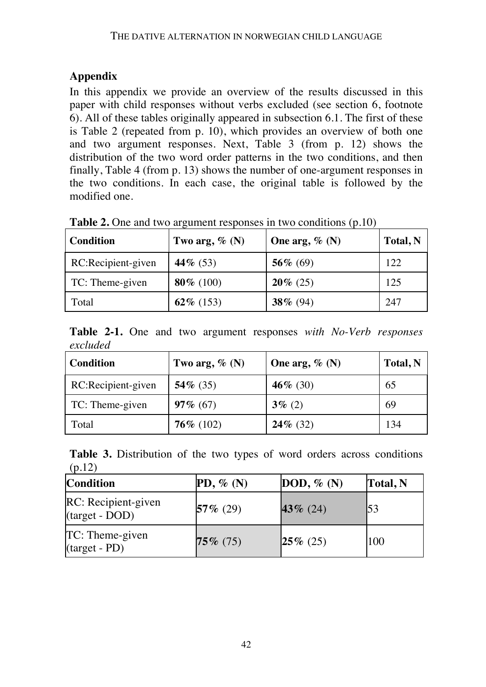# **Appendix**

In this appendix we provide an overview of the results discussed in this paper with child responses without verbs excluded (see section 6, footnote 6). All of these tables originally appeared in subsection 6.1. The first of these is Table 2 (repeated from p. 10), which provides an overview of both one and two argument responses. Next, Table 3 (from p. 12) shows the distribution of the two word order patterns in the two conditions, and then finally, Table 4 (from p. 13) shows the number of one-argument responses in the two conditions. In each case, the original table is followed by the modified one.

| <b>Condition</b>   | Two arg, $\%$ (N) | One arg, $\%$ (N) | Total, N |
|--------------------|-------------------|-------------------|----------|
| RC:Recipient-given | 44 $\%$ (53)      | 56 $% (69)$       | 122      |
| TC: Theme-given    | 80 $% (100)$      | $20\%$ (25)       | 125      |
| Total              | 62% (153)         | 38% (94)          | 247      |

**Table 2.** One and two argument responses in two conditions (p.10)

**Table 2-1.** One and two argument responses *with No-Verb responses excluded*

| <b>Condition</b>   | Two arg, $\%$ (N) | One arg, $\%$ (N) | <b>Total, N</b> |
|--------------------|-------------------|-------------------|-----------------|
| RC:Recipient-given | 54\% $(35)$       | 46\% (30)         | 65              |
| TC: Theme-given    | $97\% (67)$       | $3\%$ (2)         | 69              |
| Total              | $76\%$ (102)      | $24\%$ (32)       | 134             |

**Table 3.** Distribution of the two types of word orders across conditions (p.12)

| <b>Condition</b>                      | $PD, \%$ (N) | DOD, $\%$ (N) | Total, N |
|---------------------------------------|--------------|---------------|----------|
| RC: Recipient-given<br>(target - DOD) | $57\%$ (29)  | 43\% $(24)$   | 153      |
| TC: Theme-given<br>$(target - PD)$    | $75\%$ (75)  | $25\%$ (25)   | 100      |